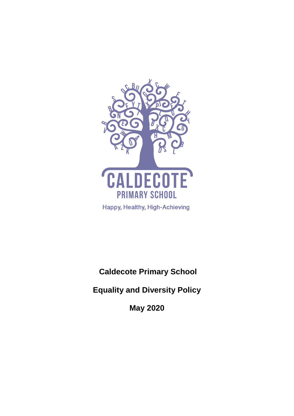

**Caldecote Primary School**

**Equality and Diversity Policy**

**May 2020**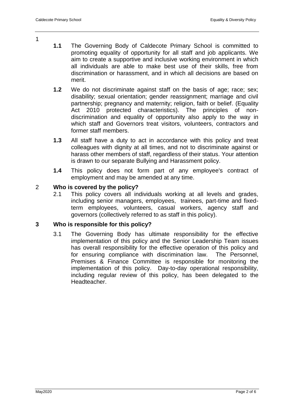- **1.1** The Governing Body of Caldecote Primary School is committed to promoting equality of opportunity for all staff and job applicants. We aim to create a supportive and inclusive working environment in which all individuals are able to make best use of their skills, free from discrimination or harassment, and in which all decisions are based on merit.
- **1.2** We do not discriminate against staff on the basis of age; race; sex; disability; sexual orientation; gender reassignment; marriage and civil partnership; pregnancy and maternity; religion, faith or belief. (Equality Act 2010 protected characteristics). The principles of nondiscrimination and equality of opportunity also apply to the way in which staff and Governors treat visitors, volunteers, contractors and former staff members.
- **1.3** All staff have a duty to act in accordance with this policy and treat colleagues with dignity at all times, and not to discriminate against or harass other members of staff, regardless of their status. Your attention is drawn to our separate Bullying and Harassment policy.
- **1.4** This policy does not form part of any employee's contract of employment and may be amended at any time.

# 2 **Who is covered by the policy?**

2.1 This policy covers all individuals working at all levels and grades, including senior managers, employees, trainees, part-time and fixedterm employees, volunteers, casual workers, agency staff and governors (collectively referred to as staff in this policy).

# **3 Who is responsible for this policy?**

3.1 The Governing Body has ultimate responsibility for the effective implementation of this policy and the Senior Leadership Team issues has overall responsibility for the effective operation of this policy and for ensuring compliance with discrimination law. The Personnel, Premises & Finance Committee is responsible for monitoring the implementation of this policy. Day-to-day operational responsibility, including regular review of this policy, has been delegated to the **Headteacher** 

1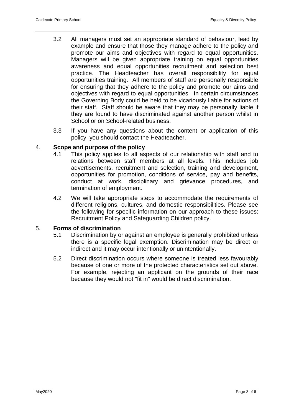- 3.2 All managers must set an appropriate standard of behaviour, lead by example and ensure that those they manage adhere to the policy and promote our aims and objectives with regard to equal opportunities. Managers will be given appropriate training on equal opportunities awareness and equal opportunities recruitment and selection best practice. The Headteacher has overall responsibility for equal opportunities training. All members of staff are personally responsible for ensuring that they adhere to the policy and promote our aims and objectives with regard to equal opportunities. In certain circumstances the Governing Body could be held to be vicariously liable for actions of their staff. Staff should be aware that they may be personally liable if they are found to have discriminated against another person whilst in School or on School-related business.
- 3.3 If you have any questions about the content or application of this policy, you should contact the Headteacher.

## 4. **Scope and purpose of the policy**

- 4.1 This policy applies to all aspects of our relationship with staff and to relations between staff members at all levels. This includes job advertisements, recruitment and selection, training and development, opportunities for promotion, conditions of service, pay and benefits, conduct at work, disciplinary and grievance procedures, and termination of employment.
- 4.2 We will take appropriate steps to accommodate the requirements of different religions, cultures, and domestic responsibilities. Please see the following for specific information on our approach to these issues: Recruitment Policy and Safeguarding Children policy.

## 5. **Forms of discrimination**

- 5.1 Discrimination by or against an employee is generally prohibited unless there is a specific legal exemption. Discrimination may be direct or indirect and it may occur intentionally or unintentionally.
- 5.2 Direct discrimination occurs where someone is treated less favourably because of one or more of the protected characteristics set out above. For example, rejecting an applicant on the grounds of their race because they would not "fit in" would be direct discrimination.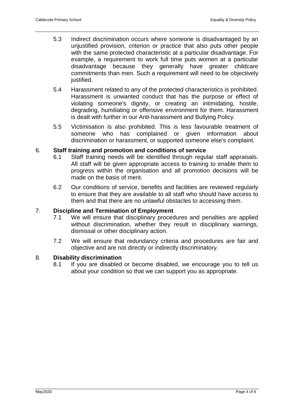- 5.3 Indirect discrimination occurs where someone is disadvantaged by an unjustified provision, criterion or practice that also puts other people with the same protected characteristic at a particular disadvantage. For example, a requirement to work full time puts women at a particular disadvantage because they generally have greater childcare commitments than men. Such a requirement will need to be objectively justified.
- 5.4 Harassment related to any of the protected characteristics is prohibited. Harassment is unwanted conduct that has the purpose or effect of violating someone's dignity, or creating an intimidating, hostile, degrading, humiliating or offensive environment for them. Harassment is dealt with further in our Anti-harassment and Bullying Policy.
- 5.5 Victimisation is also prohibited. This is less favourable treatment of someone who has complained or given information about discrimination or harassment, or supported someone else's complaint.

## 6. **Staff training and promotion and conditions of service**

- 6.1 Staff training needs will be identified through regular staff appraisals. All staff will be given appropriate access to training to enable them to progress within the organisation and all promotion decisions will be made on the basis of merit.
- 6.2 Our conditions of service, benefits and facilities are reviewed regularly to ensure that they are available to all staff who should have access to them and that there are no unlawful obstacles to accessing them.

## 7. **Discipline and Termination of Employment**

- 7.1 We will ensure that disciplinary procedures and penalties are applied without discrimination, whether they result in disciplinary warnings, dismissal or other disciplinary action.
- 7.2 We will ensure that redundancy criteria and procedures are fair and objective and are not directly or indirectly discriminatory.

### 8. **Disability discrimination**

8.1 If you are disabled or become disabled, we encourage you to tell us about your condition so that we can support you as appropriate.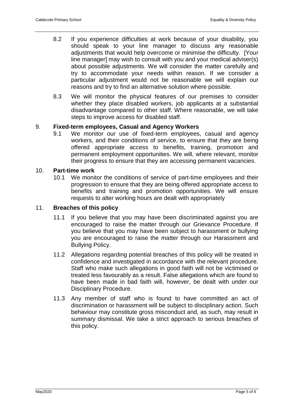- 8.2 If you experience difficulties at work because of your disability, you should speak to your line manager to discuss any reasonable adjustments that would help overcome or minimise the difficulty. [Your line manager] may wish to consult with you and your medical adviser(s) about possible adjustments. We will consider the matter carefully and try to accommodate your needs within reason. If we consider a particular adjustment would not be reasonable we will explain our reasons and try to find an alternative solution where possible.
- 8.3 We will monitor the physical features of our premises to consider whether they place disabled workers, job applicants at a substantial disadvantage compared to other staff. Where reasonable, we will take steps to improve access for disabled staff.

## 9. **Fixed-term employees, Casual and Agency Workers**

9.1 We monitor our use of fixed-term employees, casual and agency workers, and their conditions of service, to ensure that they are being offered appropriate access to benefits, training, promotion and permanent employment opportunities. We will, where relevant, monitor their progress to ensure that they are accessing permanent vacancies.

#### 10. **Part-time work**

10.1 We monitor the conditions of service of part-time employees and their progression to ensure that they are being offered appropriate access to benefits and training and promotion opportunities. We will ensure requests to alter working hours are dealt with appropriately

### 11. **Breaches of this policy**

- 11.1 If you believe that you may have been discriminated against you are encouraged to raise the matter through our Grievance Procedure. If you believe that you may have been subject to harassment or bullying you are encouraged to raise the matter through our Harassment and Bullying Policy.
- 11.2 Allegations regarding potential breaches of this policy will be treated in confidence and investigated in accordance with the relevant procedure. Staff who make such allegations in good faith will not be victimised or treated less favourably as a result. False allegations which are found to have been made in bad faith will, however, be dealt with under our Disciplinary Procedure.
- 11.3 Any member of staff who is found to have committed an act of discrimination or harassment will be subject to disciplinary action. Such behaviour may constitute gross misconduct and, as such, may result in summary dismissal. We take a strict approach to serious breaches of this policy.